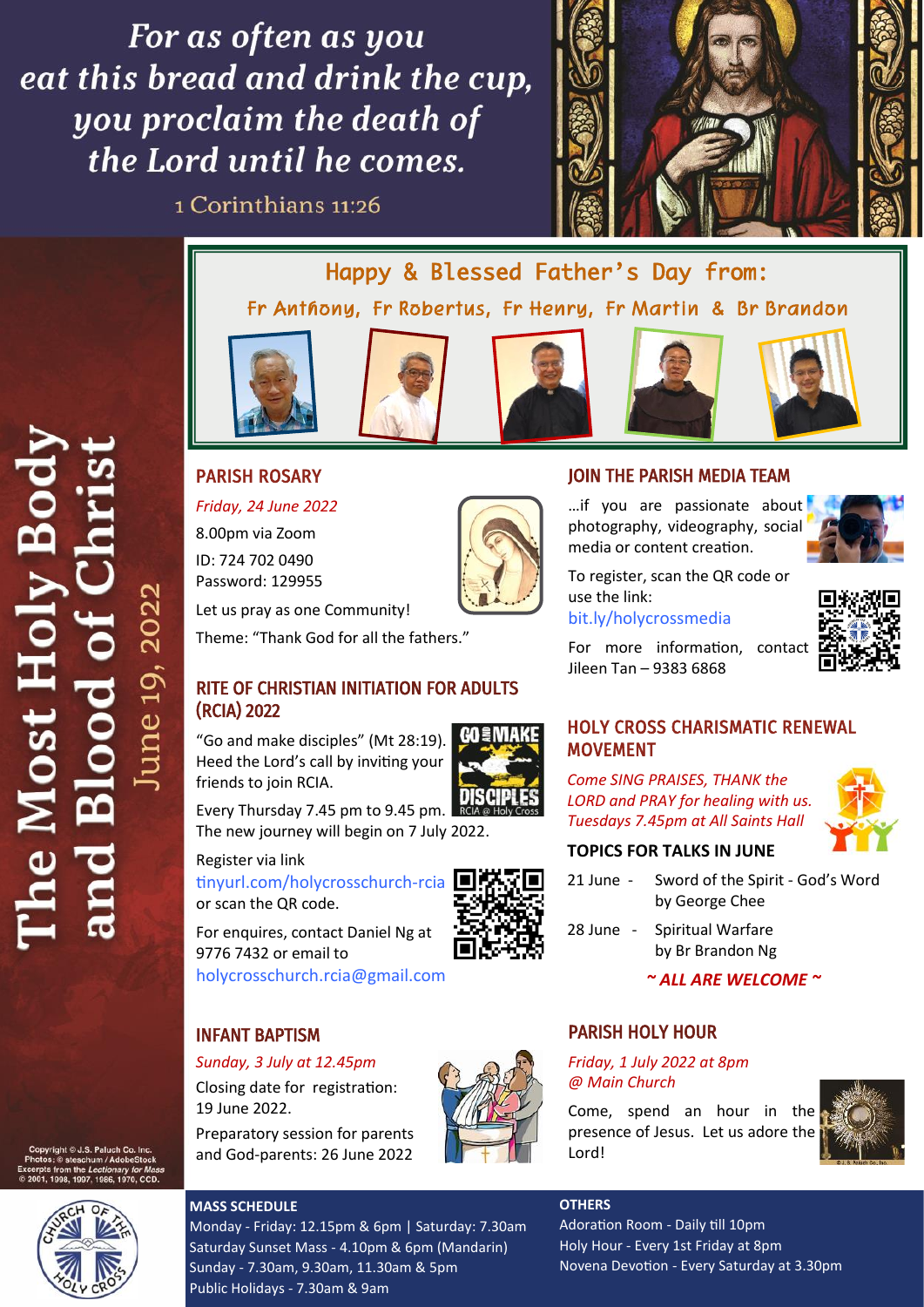For as often as you eat this bread and drink the cup. you proclaim the death of the Lord until he comes.

1 Corinthians 11:26



Happy & Blessed Father's Day from: Fr Anthony, Fr Robertus, Fr Henry, Fr Martin & Br Brandon



PARISH ROSARY

*Friday, 24 June 2022*









# JOIN THE PARISH MEDIA TEAM

...if you are passionate about photography, videography, social media or content creation.



To register, scan the QR code or use the link:

[bit.ly/holycrossmedia](https://bit.ly/holycrossmedia)

For more information, contact Jileen Tan – 9383 6868



# HOLY CROSS CHARISMATIC RENEWAL MOVEMENT

*Come SING PRAISES, THANK the LORD and PRAY for healing with us. Tuesdays 7.45pm at All Saints Hall*



#### **TOPICS FOR TALKS IN JUNE**

- 21 June Sword of the Spirit God's Word by George Chee
- 28 June Spiritual Warfare by Br Brandon Ng
	- *~ ALL ARE WELCOME ~*

#### PARISH HOLY HOUR

*Friday, 1 July 2022 at 8pm @ Main Church* 

Come, spend an hour in the presence of Jesus. Let us adore the Lord!





1970, CCD

#### **MASS SCHEDULE**

Monday - Friday: 12.15pm & 6pm | Saturday: 7.30am Saturday Sunset Mass - 4.10pm & 6pm (Mandarin) Sunday - 7.30am, 9.30am, 11.30am & 5pm Public Holidays - 7.30am & 9am

#### **OTHERS**

Adoration Room - Daily till 10pm Holy Hour - Every 1st Friday at 8pm Novena Devotion - Every Saturday at 3.30pm













Every Thursday 7.45 pm to 9.45 pm. **DISCIPL**<br>The set is the state of the state holds The new journey will begin on 7 July 2022.

Register via link

[tinyurl.com/holycrosschurch](https://tinyurl.com/holycrosschurch-rcia)-rcia or scan the QR code.

For enquires, contact Daniel Ng at 9776 7432 or email to [holycrosschurch.rcia@gmail.com](mailto:holycrosschurch.rcia@gmail.com?subject=RCIA%202022)

# INFANT BAPTISM

#### *Sunday, 3 July at 12.45pm*

Closing date for registration: 19 June 2022.

Preparatory session for parents and God-parents: 26 June 2022



Most